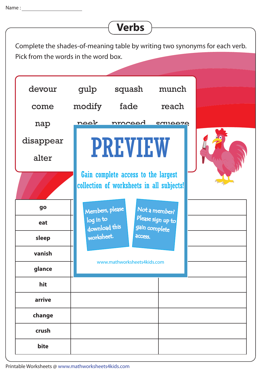## **go eat sleep vanish glance hit arrive change crush bite** come devour alter nap disappear fade squash doze nroced chew strike modify ngok gulp movement beat reach PREVIEW **COULD DE** munch Complete the shades-of-meaning table by writing two synonyms for each verb. Pick from the words in the word box. **Verbs** www.mathworksheets4kids.com Members, please download this worksheet. log in to Not a member? gain complete Please sign up to **access** Gain complete access to the largest collection of worksheets in all subjects!

Printable Worksheets @ www.mathworksheets4kids.com